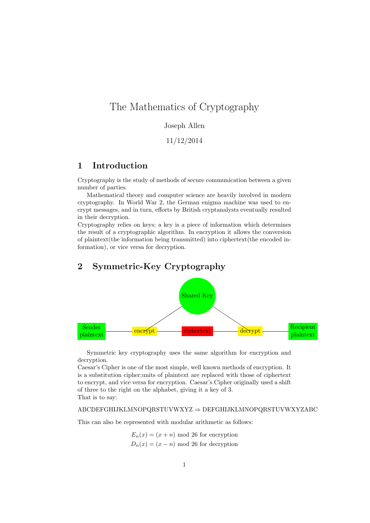# The Mathematics of Cryptography

#### Joseph Allen

#### 11/12/2014

### 1 Introduction

Cryptography is the study of methods of secure communication between a given number of parties.

Mathematical theory and computer science are heavily involved in modern cryptography. In World War 2, the German enigma machine was used to encrypt messages, and in turn, efforts by British cryptanalysts eventually resulted in their decryption.

Cryptography relies on keys; a key is a piece of information which determines the result of a cryptographic algorithm. In encryption it allows the conversion of plaintext(the information being transmitted) into ciphertext(the encoded information), or vice versa for decryption.

# 2 Symmetric-Key Cryptography



Symmetric key cryptography uses the same algorithm for encryption and decryption.

Caesar's Cipher is one of the most simple, well known methods of encryption. It is a substitution cipher;units of plaintext are replaced with those of ciphertext to encrypt, and vice versa for encryption. Caesar's Cipher originally used a shift of three to the right on the alphabet, giving it a key of 3. That is to say:

#### ABCDEFGHIJKLMNOPQRSTUVWXYZ ⇒ DEFGHIJKLMNOPQRSTUVWXYZABC

This can also be represented with modular arithmetic as follows:

 $E_n(x) = (x + n) \mod 26$  for encryption  $D_n(x) = (x - n) \mod 26$  for decryption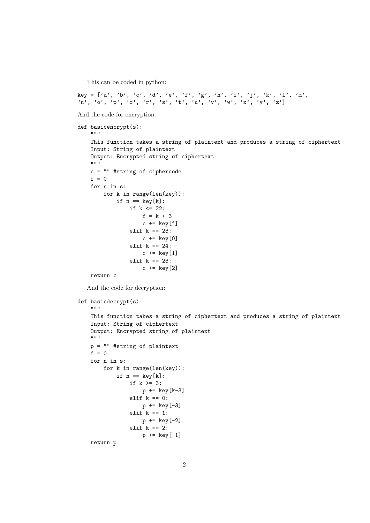This can be coded in python:

key = ['a', 'b', 'c', 'd', 'e', 'f', 'g', 'h', 'i', 'j', 'k', 'l', 'm', 'n', 'o', 'p', 'q', 'r', 's', 't', 'u', 'v', 'w', 'x', 'y', 'z']

And the code for encryption:

```
def basicencrypt(s):
    ^{\rm H~H~H}This function takes a string of plaintext and produces a string of ciphertext
    Input: String of plaintext
    Output: Encrypted string of ciphertext
    ^{\rm{m}} ""
    c = "" #string of ciphercode
    f = 0for n in s:
         for k in range(len(key)):
              if n == key[k]:
                  if k \leq 22:
                       f = k + 3c += key[f]elif k == 23:
                       c += key[0]elif k == 24:
                       c += key[1]elif k == 23:
                       c += key[2]return c
   And the code for decryption:
def basicdecrypt(s):
    ^{\prime\prime\prime\prime\prime\prime\prime}This function takes a string of ciphertext and produces a string of plaintext
    Input: String of ciphertext
    Output: Encrypted string of plaintext
    ^{\prime\prime\prime\prime\prime\prime\prime}p = "" #string of plaintext
    f = 0for n in s:
         for k in range(len(key)):
              if n == key[k]:
                  if k \ge 3:
                       p \leftarrow \text{key}[k-3]elif k == 0:
                      p \leftarrow \text{key}[-3]elif k == 1:
                       p += key[-2]elif k == 2:
                       p += key[-1]return p
```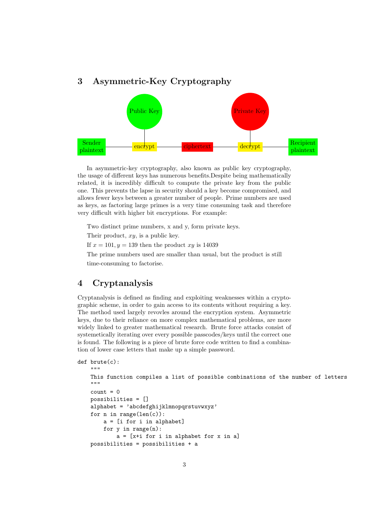## 3 Asymmetric-Key Cryptography



In asymmetric-key cryptography, also known as public key cryptography, the usage of different keys has numerous benefits.Despite being mathematically related, it is incredibly difficult to compute the private key from the public one. This prevents the lapse in security should a key become compromised, and allows fewer keys between a greater number of people. Prime numbers are used as keys, as factoring large primes is a very time consuming task and therefore very difficult with higher bit encryptions. For example:

Two distinct prime numbers, x and y, form private keys.

Their product,  $xy$ , is a public key.

If  $x = 101, y = 139$  then the product  $xy$  is 14039

The prime numbers used are smaller than usual, but the product is still time-consuming to factorise.

## 4 Cryptanalysis

Cryptanalysis is defined as finding and exploiting weaknesses within a cryptographic scheme, in order to gain access to its contents without requiring a key. The method used largely revovles around the encryption system. Asymmetric keys, due to their reliance on more complex mathematical problems, are more widely linked to greater mathematical research. Brute force attacks consist of systemetically iterating over every possible passcodes/keys until the correct one is found. The following is a piece of brute force code written to find a combination of lower case letters that make up a simple password.

```
def brute(c):
```

```
"" "
This function compiles a list of possible combinations of the number of letters
"" ""
count = 0possibilities = []
alphabet = 'abcdefghijklmnopqrstuvwxyz'
for n in range(len(c)):
    a = [i for i in alphabet]
    for y in range(n):
        a = [x+i for i in alphabet for x in a]
possibilities = possibilities + a
```